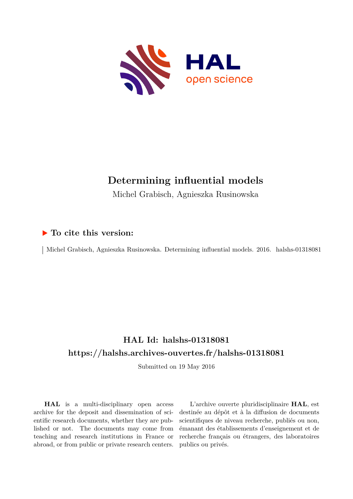

# **Determining influential models**

Michel Grabisch, Agnieszka Rusinowska

## **To cite this version:**

| Michel Grabisch, Agnieszka Rusinowska. Determining influential models. 2016. halshs-01318081

# **HAL Id: halshs-01318081 <https://halshs.archives-ouvertes.fr/halshs-01318081>**

Submitted on 19 May 2016

**HAL** is a multi-disciplinary open access archive for the deposit and dissemination of scientific research documents, whether they are published or not. The documents may come from teaching and research institutions in France or abroad, or from public or private research centers.

L'archive ouverte pluridisciplinaire **HAL**, est destinée au dépôt et à la diffusion de documents scientifiques de niveau recherche, publiés ou non, émanant des établissements d'enseignement et de recherche français ou étrangers, des laboratoires publics ou privés.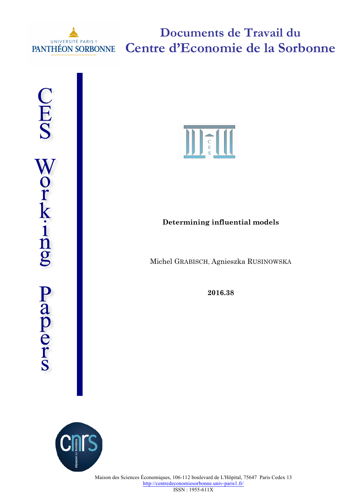

**Documents de Travail du Centre d'Economie de la Sorbonne**





## **Determining influential models**

Michel GRABISCH, Agnieszka RUSINOWSKA

**2016.38**

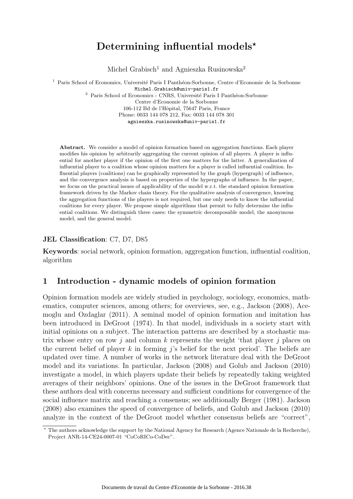# Determining influential models $\star$

Michel Grabisch<sup>1</sup> and Agnieszka Rusinowska<sup>2</sup>

<sup>1</sup> Paris School of Economics, Université Paris I Panthéon-Sorbonne, Centre d'Economie de la Sorbonne Michel.Grabisch@univ-paris1.fr  $^{\rm 2}$  Paris School of Economics - CNRS, Université Paris I Panthéon-Sorbonne Centre d'Economie de la Sorbonne 106-112 Bd de l'Hôpital, 75647 Paris, France Phone: 0033 144 078 212, Fax: 0033 144 078 301 agnieszka.rusinowska@univ-paris1.fr

Abstract. We consider a model of opinion formation based on aggregation functions. Each player modifies his opinion by arbitrarily aggregating the current opinion of all players. A player is influential for another player if the opinion of the first one matters for the latter. A generalization of influential player to a coalition whose opinion matters for a player is called influential coalition. Influential players (coalitions) can be graphically represented by the graph (hypergraph) of influence, and the convergence analysis is based on properties of the hypergraphs of influence. In the paper, we focus on the practical issues of applicability of the model w.r.t. the standard opinion formation framework driven by the Markov chain theory. For the qualitative analysis of convergence, knowing the aggregation functions of the players is not required, but one only needs to know the influential coalitions for every player. We propose simple algorithms that permit to fully determine the influential coalitions. We distinguish three cases: the symmetric decomposable model, the anonymous model, and the general model.

#### JEL Classification: C7, D7, D85

Keywords: social network, opinion formation, aggregation function, influential coalition, algorithm

### 1 Introduction - dynamic models of opinion formation

Opinion formation models are widely studied in psychology, sociology, economics, mathematics, computer sciences, among others; for overviews, see, e.g., Jackson (2008), Acemoglu and Ozdaglar (2011). A seminal model of opinion formation and imitation has been introduced in DeGroot (1974). In that model, individuals in a society start with initial opinions on a subject. The interaction patterns are described by a stochastic matrix whose entry on row j and column  $k$  represents the weight 'that player j places on the current belief of player k in forming j's belief for the next period'. The beliefs are updated over time. A number of works in the network literature deal with the DeGroot model and its variations. In particular, Jackson (2008) and Golub and Jackson (2010) investigate a model, in which players update their beliefs by repeatedly taking weighted averages of their neighbors' opinions. One of the issues in the DeGroot framework that these authors deal with concerns necessary and sufficient conditions for convergence of the social influence matrix and reaching a consensus; see additionally Berger (1981). Jackson (2008) also examines the speed of convergence of beliefs, and Golub and Jackson (2010) analyze in the context of the DeGroot model whether consensus beliefs are "correct",

<sup>⋆</sup> The authors acknowledge the support by the National Agency for Research (Agence Nationale de la Recherche), Project ANR-14-CE24-0007-01 "CoCoRICo-CoDec".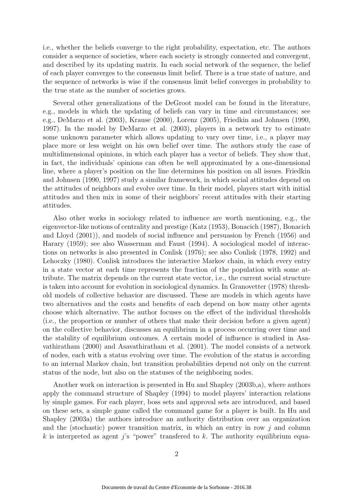i.e., whether the beliefs converge to the right probability, expectation, etc. The authors consider a sequence of societies, where each society is strongly connected and convergent, and described by its updating matrix. In each social network of the sequence, the belief of each player converges to the consensus limit belief. There is a true state of nature, and the sequence of networks is wise if the consensus limit belief converges in probability to the true state as the number of societies grows.

Several other generalizations of the DeGroot model can be found in the literature, e.g., models in which the updating of beliefs can vary in time and circumstances; see e.g., DeMarzo et al. (2003), Krause (2000), Lorenz (2005), Friedkin and Johnsen (1990, 1997). In the model by DeMarzo et al. (2003), players in a network try to estimate some unknown parameter which allows updating to vary over time, i.e., a player may place more or less weight on his own belief over time. The authors study the case of multidimensional opinions, in which each player has a vector of beliefs. They show that, in fact, the individuals' opinions can often be well approximated by a one-dimensional line, where a player's position on the line determines his position on all issues. Friedkin and Johnsen (1990, 1997) study a similar framework, in which social attitudes depend on the attitudes of neighbors and evolve over time. In their model, players start with initial attitudes and then mix in some of their neighbors' recent attitudes with their starting attitudes.

Also other works in sociology related to influence are worth mentioning, e.g., the eigenvector-like notions of centrality and prestige (Katz (1953), Bonacich (1987), Bonacich and Lloyd (2001)), and models of social influence and persuasion by French (1956) and Harary (1959); see also Wasserman and Faust (1994). A sociological model of interactions on networks is also presented in Conlisk (1976); see also Conlisk (1978, 1992) and Lehoczky (1980). Conlisk introduces the interactive Markov chain, in which every entry in a state vector at each time represents the fraction of the population with some attribute. The matrix depends on the current state vector, i.e., the current social structure is taken into account for evolution in sociological dynamics. In Granovetter (1978) threshold models of collective behavior are discussed. These are models in which agents have two alternatives and the costs and benefits of each depend on how many other agents choose which alternative. The author focuses on the effect of the individual thresholds (i.e., the proportion or number of others that make their decision before a given agent) on the collective behavior, discusses an equilibrium in a process occurring over time and the stability of equilibrium outcomes. A certain model of influence is studied in Asavathiratham (2000) and Asavathiratham et al. (2001). The model consists of a network of nodes, each with a status evolving over time. The evolution of the status is according to an internal Markov chain, but transition probabilities depend not only on the current status of the node, but also on the statuses of the neighboring nodes.

Another work on interaction is presented in Hu and Shapley (2003b,a), where authors apply the command structure of Shapley (1994) to model players' interaction relations by simple games. For each player, boss sets and approval sets are introduced, and based on these sets, a simple game called the command game for a player is built. In Hu and Shapley (2003a) the authors introduce an authority distribution over an organization and the (stochastic) power transition matrix, in which an entry in row  $j$  and column k is interpreted as agent j's "power" transfered to  $k$ . The authority equilibrium equa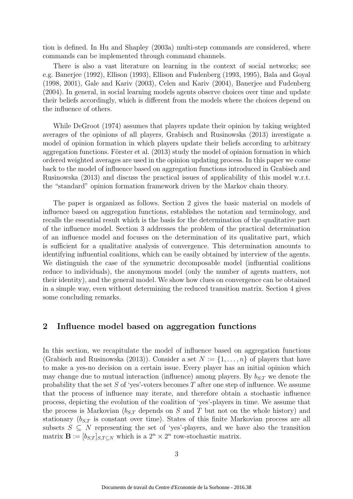tion is defined. In Hu and Shapley (2003a) multi-step commands are considered, where commands can be implemented through command channels.

There is also a vast literature on learning in the context of social networks; see e.g. Banerjee (1992), Ellison (1993), Ellison and Fudenberg (1993, 1995), Bala and Goyal (1998, 2001), Gale and Kariv (2003), Celen and Kariv (2004), Banerjee and Fudenberg (2004). In general, in social learning models agents observe choices over time and update their beliefs accordingly, which is different from the models where the choices depend on the influence of others.

While DeGroot (1974) assumes that players update their opinion by taking weighted averages of the opinions of all players, Grabisch and Rusinowska (2013) investigate a model of opinion formation in which players update their beliefs according to arbitrary aggregation functions. Förster et al.  $(2013)$  study the model of opinion formation in which ordered weighted averages are used in the opinion updating process. In this paper we come back to the model of influence based on aggregation functions introduced in Grabisch and Rusinowska (2013) and discuss the practical issues of applicability of this model w.r.t. the "standard" opinion formation framework driven by the Markov chain theory.

The paper is organized as follows. Section 2 gives the basic material on models of influence based on aggregation functions, establishes the notation and terminology, and recalls the essential result which is the basis for the determination of the qualitative part of the influence model. Section 3 addresses the problem of the practical determination of an influence model and focuses on the determination of its qualitative part, which is sufficient for a qualitative analysis of convergence. This determination amounts to identifying influential coalitions, which can be easily obtained by interview of the agents. We distinguish the case of the symmetric decomposable model (influential coalitions reduce to individuals), the anonymous model (only the number of agents matters, not their identity), and the general model. We show how clues on convergence can be obtained in a simple way, even without determining the reduced transition matrix. Section 4 gives some concluding remarks.

### 2 Influence model based on aggregation functions

In this section, we recapitulate the model of influence based on aggregation functions (Grabisch and Rusinowska (2013)). Consider a set  $N := \{1, \ldots, n\}$  of players that have to make a yes-no decision on a certain issue. Every player has an initial opinion which may change due to mutual interaction (influence) among players. By  $b_{S,T}$  we denote the probability that the set  $S$  of 'yes'-voters becomes  $T$  after one step of influence. We assume that the process of influence may iterate, and therefore obtain a stochastic influence process, depicting the evolution of the coalition of 'yes'-players in time. We assume that the process is Markovian  $(b_{S,T}$  depends on S and T but not on the whole history) and stationary  $(b_{S,T}$  is constant over time). States of this finite Markovian process are all subsets  $S \subseteq N$  representing the set of 'yes'-players, and we have also the transition matrix  $\mathbf{B} := [b_{S,T}]_{S,T \subseteq N}$  which is a  $2^n \times 2^n$  row-stochastic matrix.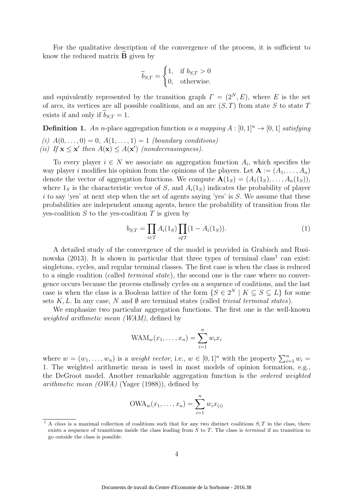For the qualitative description of the convergence of the process, it is sufficient to know the reduced matrix  $\bf{B}$  given by

$$
\widetilde{b}_{S,T} = \begin{cases} 1, & \text{if } b_{S,T} > 0 \\ 0, & \text{otherwise.} \end{cases}
$$

and equivalently represented by the transition graph  $\Gamma = (2^N, E)$ , where E is the set of arcs, its vertices are all possible coalitions, and an arc  $(S, T)$  from state S to state T exists if and only if  $b_{S,T} = 1$ .

**Definition 1.** An n-place aggregation function *is a mapping*  $A : [0, 1]^n \rightarrow [0, 1]$  *satisfying* 

*(i)*  $A(0, \ldots, 0) = 0, A(1, \ldots, 1) = 1$  *(boundary conditions)* (*ii*) If  $\mathbf{x} \leq \mathbf{x}'$  then  $A(\mathbf{x}) \leq A(\mathbf{x}')$  (nondecreasingness).

To every player  $i \in N$  we associate an aggregation function  $A_i$ , which specifies the way player i modifies his opinion from the opinions of the players. Let  $\mathbf{A} := (A_1, \ldots, A_n)$ denote the vector of aggregation functions. We compute  $\mathbf{A}(1_S) = (A_1(1_S), \ldots, A_n(1_S)),$ where  $1<sub>S</sub>$  is the characteristic vector of S, and  $A<sub>i</sub>(1<sub>S</sub>)$  indicates the probability of player  $i$  to say 'yes' at next step when the set of agents saying 'yes' is  $S$ . We assume that these probabilities are independent among agents, hence the probability of transition from the yes-coalition  $S$  to the yes-coalition  $T$  is given by

$$
b_{S,T} = \prod_{i \in T} A_i(1_S) \prod_{i \notin T} (1 - A_i(1_S)).
$$
 (1)

A detailed study of the convergence of the model is provided in Grabisch and Rusinowska  $(2013)$ . It is shown in particular that three types of terminal class<sup>1</sup> can exist: singletons, cycles, and regular terminal classes. The first case is when the class is reduced to a single coalition (called *terminal state*), the second one is the case where no convergence occurs because the process endlessly cycles on a sequence of coalitions, and the last case is when the class is a Boolean lattice of the form  $\{S \in 2^N \mid K \subseteq S \subseteq L\}$  for some sets  $K, L$ . In any case, N and  $\emptyset$  are terminal states (called *trivial terminal states*).

We emphasize two particular aggregation functions. The first one is the well-known *weighted arithmetic mean (WAM)*, defined by

$$
WAM_w(x_1,\ldots,x_n)=\sum_{i=1}^n w_i x_i
$$

where  $w = (w_1, \ldots, w_n)$  is a *weight vector*, i.e.,  $w \in [0,1]^n$  with the property  $\sum_{i=1}^n w_i =$ 1. The weighted arithmetic mean is used in most models of opinion formation, e.g., the DeGroot model. Another remarkable aggregation function is the *ordered weighted arithmetic mean (OWA)* (Yager (1988)), defined by

$$
\text{OWA}_{w}(x_1,\ldots,x_n)=\sum_{i=1}^n w_i x_{(i)}
$$

 $1 A class$  is a maximal collection of coalitions such that for any two distinct coalitions  $S, T$  in the class, there exists a sequence of transitions inside the class leading from  $S$  to  $T$ . The class is *terminal* if no transition to go outside the class is possible.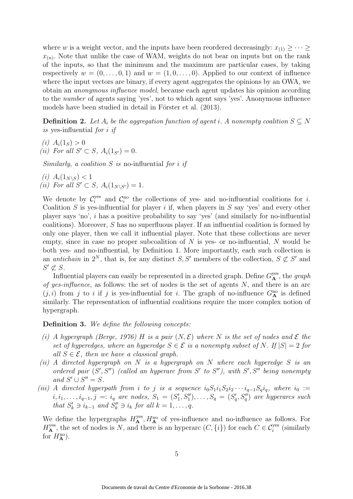where w is a weight vector, and the inputs have been reordered decreasingly:  $x_{(1)} \geq \cdots \geq x_{(n)}$  $x_{(n)}$ . Note that unlike the case of WAM, weights do not bear on inputs but on the rank of the inputs, so that the minimum and the maximum are particular cases, by taking respectively  $w = (0, \ldots, 0, 1)$  and  $w = (1, 0, \ldots, 0)$ . Applied to our context of influence where the input vectors are binary, if every agent aggregates the opinions by an OWA, we obtain an *anonymous influence model*, because each agent updates his opinion according to the *number* of agents saying 'yes', not to which agent says 'yes'. Anonymous influence models have been studied in detail in Förster et al. (2013).

**Definition 2.** Let  $A_i$  be the aggregation function of agent i. A nonempty coalition  $S \subseteq N$ *is* yes-influential *for* i *if*

*(i)*  $A_i(1_S) > 0$ *(ii)* For all  $S' \subset S$ ,  $A_i(1_{S'}) = 0$ .

*Similarly, a coalition* S *is* no-influential *for* i *if*

*(i)*  $A_i(1_{N\setminus S}) < 1$ *(ii)* For all  $S' \subset S$ ,  $A_i(1_{N \setminus S'}) = 1$ .

We denote by  $\mathcal{C}_i^{\text{yes}}$ <sup>yes</sup> and  $\mathcal{C}_i^{\text{no}}$  the collections of yes- and no-influential coalitions for *i*. Coalition  $S$  is yes-influential for player i if, when players in  $S$  say 'yes' and every other player says 'no', i has a positive probability to say 'yes' (and similarly for no-influential coalitions). Moreover, S has no superfluous player. If an influential coalition is formed by only one player, then we call it influential player. Note that these collections are never empty, since in case no proper subcoalition of  $N$  is yes- or no-influential,  $N$  would be both yes- and no-influential, by Definition 1. More importantly, each such collection is an *antichain* in  $2^N$ , that is, for any distinct S, S' members of the collection,  $S \not\subset S'$  and  $S' \not\subset S$ .

Influential players can easily be represented in a directed graph. Define  $G_{\mathbf{A}}^{\text{yes}}$ , the graph *of yes-influence*, as follows: the set of nodes is the set of agents N, and there is an arc  $(j, i)$  from j to i if j is yes-influential for i. The graph of no-influence  $G_{\mathbf{A}}^{\text{no}}$  is defined similarly. The representation of influential coalitions require the more complex notion of hypergraph.

#### Definition 3. *We define the following concepts:*

- *(i) A hypergraph (Berge, 1976)* H *is a pair*  $(N, \mathcal{E})$  *where* N *is the set of nodes and*  $\mathcal{E}$  *the set of hyperedges, where an hyperedge*  $S \in \mathcal{E}$  *is a nonempty subset of* N. If  $|S| = 2$  *for all*  $S \in \mathcal{E}$ *, then we have a classical graph.*
- *(ii) A directed hypergraph on* N *is a hypergraph on* N *where each hyperedge* S *is an* ordered pair  $(S', S'')$  (called an hyperarc from S' to S''), with S', S'' being nonempty  $and S' \cup S'' = S.$
- *(iii)* A directed hyperpath from i to j is a sequence  $i_0S_1i_1S_2i_2\cdots i_{q-1}S_qi_q$ , where  $i_0 :=$  $i, i_1, \ldots, i_{q-1}, j =: i_q$  are nodes,  $S_1 = (S'_1, S''_1), \ldots, S_q = (S'_q, S''_q)$  are hyperarcs such *that*  $S'_k \ni i_{k-1}$  *and*  $S''_k \ni i_k$  *for all*  $k = 1, \ldots, q$ *.*

We define the hypergraphs  $H_{\mathbf{A}}^{\text{yes}}, H_{\mathbf{A}}^{\text{no}}$  of yes-influence and no-influence as follows. For  $H_{\mathbf{A}}^{\text{yes}}$ , the set of nodes is N, and there is an hyperarc  $(C, \{i\})$  for each  $C \in \mathcal{C}_i^{\text{yes}}$  (similarly for  $H_{\mathbf{A}}^{\text{no}}$ ).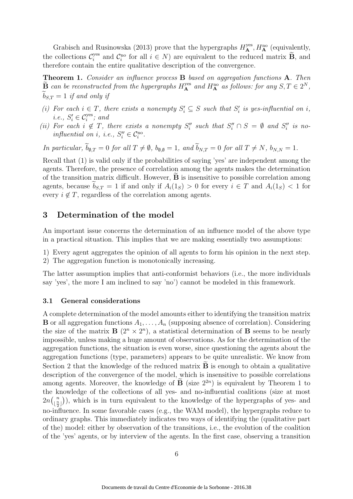Grabisch and Rusinowska (2013) prove that the hypergraphs  $H_{\mathbf{A}}^{\text{yes}}, H_{\mathbf{A}}^{\text{no}}$  (equivalently, the collections  $\mathcal{C}_i^{\text{yes}}$ <sup>yes</sup> and  $\mathcal{C}_i^{\text{no}}$  for all  $i \in N$ ) are equivalent to the reduced matrix **B**, and therefore contain the entire qualitative description of the convergence.

Theorem 1. *Consider an influence process* B *based on aggregation functions* A*. Then*  $\widetilde{B}$  *can be reconstructed from the hypergraphs*  $H_{\mathbf{A}}^{\text{yes}}$  *and*  $H_{\mathbf{A}}^{\text{no}}$  *as follows: for any*  $S, T \in 2^N$ ,  $\tilde{b}_{S,T} = 1$  *if and only if* 

- (*i*) For each  $i \in T$ , there exists a nonempty  $S_i' \subseteq S$  such that  $S_i'$  is yes-influential on i, *i.e.,*  $S_i' \in \mathcal{C}_i^{yes}$ ; and
- (*ii*) For each  $i \notin T$ , there exists a nonempty  $S''_i$  such that  $S''_i \cap S = \emptyset$  and  $S''_i$  is no*influential on i, i.e.,*  $S_i'' \in C_i^{no}$ *.*

*In particular,*  $\widetilde{b}_{\emptyset,T} = 0$  *for all*  $T \neq \emptyset$ *,*  $b_{\emptyset,\emptyset} = 1$ *, and*  $\widetilde{b}_{N,T} = 0$  *for all*  $T \neq N$ *,*  $b_{N,N} = 1$ *.* 

Recall that (1) is valid only if the probabilities of saying 'yes' are independent among the agents. Therefore, the presence of correlation among the agents makes the determination of the transition matrix difficult. However,  $\bf{B}$  is insensitive to possible correlation among agents, because  $\tilde{b}_{S,T} = 1$  if and only if  $A_i(1_S) > 0$  for every  $i \in T$  and  $A_i(1_S) < 1$  for every  $i \notin T$ , regardless of the correlation among agents.

### 3 Determination of the model

An important issue concerns the determination of an influence model of the above type in a practical situation. This implies that we are making essentially two assumptions:

- 1) Every agent aggregates the opinion of all agents to form his opinion in the next step.
- 2) The aggregation function is monotonically increasing.

The latter assumption implies that anti-conformist behaviors (i.e., the more individuals say 'yes', the more I am inclined to say 'no') cannot be modeled in this framework.

#### 3.1 General considerations

A complete determination of the model amounts either to identifying the transition matrix **B** or all aggregation functions  $A_1, \ldots, A_n$  (supposing absence of correlation). Considering the size of the matrix  $\mathbf{B}$   $(2^n \times 2^n)$ , a statistical determination of **B** seems to be nearly impossible, unless making a huge amount of observations. As for the determination of the aggregation functions, the situation is even worse, since questioning the agents about the aggregation functions (type, parameters) appears to be quite unrealistic. We know from Section 2 that the knowledge of the reduced matrix  $\tilde{\mathbf{B}}$  is enough to obtain a qualitative description of the convergence of the model, which is insensitive to possible correlations among agents. Moreover, the knowledge of  $\mathbf{B}$  (size  $2^{2n}$ ) is equivalent by Theorem 1 to the knowledge of the collections of all yes- and no-influential coalitions (size at most  $2n\left(\frac{n}{2}\right)$  $\binom{n}{\frac{n}{2}}$ , which is in turn equivalent to the knowledge of the hypergraphs of yes- and no-influence. In some favorable cases (e.g., the WAM model), the hypergraphs reduce to ordinary graphs. This immediately indicates two ways of identifying the (qualitative part of the) model: either by observation of the transitions, i.e., the evolution of the coalition of the 'yes' agents, or by interview of the agents. In the first case, observing a transition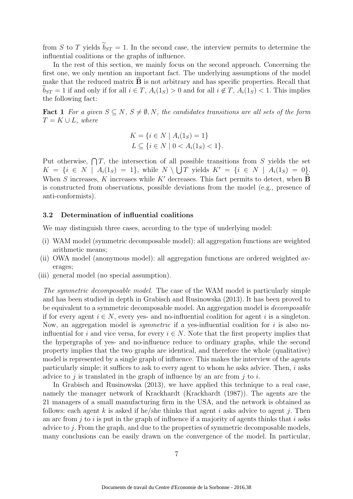from S to T yields  $b_{ST} = 1$ . In the second case, the interview permits to determine the influential coalitions or the graphs of influence.

In the rest of this section, we mainly focus on the second approach. Concerning the first one, we only mention an important fact. The underlying assumptions of the model make that the reduced matrix  $\bf{B}$  is not arbitrary and has specific properties. Recall that  $b_{ST} = 1$  if and only if for all  $i \in T$ ,  $A_i(1_S) > 0$  and for all  $i \notin T$ ,  $A_i(1_S) < 1$ . This implies the following fact:

Fact 1 *For a given*  $S \subseteq N$ ,  $S \neq \emptyset$ , N, the candidates transitions are all sets of the form  $T = K \cup L$ *, where* 

$$
K = \{ i \in N \mid A_i(1_S) = 1 \}
$$
  

$$
L \subseteq \{ i \in N \mid 0 < A_i(1_S) < 1 \}.
$$

Put otherwise,  $\bigcap T$ , the intersection of all possible transitions from S yields the set  $K = \{i \in N \mid A_i(1_S) = 1\},\$  while  $N \setminus \bigcup T$  yields  $K' = \{i \in N \mid A_i(1_S) = 0\}.$ When S increases, K increases while K' decreases. This fact permits to detect, when  $\widetilde{\mathbf{B}}$ is constructed from observations, possible deviations from the model (e.g., presence of anti-conformists).

#### 3.2 Determination of influential coalitions

We may distinguish three cases, according to the type of underlying model:

- (i) WAM model (symmetric decomposable model): all aggregation functions are weighted arithmetic means;
- (ii) OWA model (anonymous model): all aggregation functions are ordered weighted averages;
- (iii) general model (no special assumption).

*The symmetric decomposable model.* The case of the WAM model is particularly simple and has been studied in depth in Grabisch and Rusinowska (2013). It has been proved to be equivalent to a symmetric decomposable model. An aggregation model is *decomposable* if for every agent  $i \in N$ , every yes- and no-influential coalition for agent i is a singleton. Now, an aggregation model is *symmetric* if a yes-influential coalition for i is also noinfluential for i and vice versa, for every  $i \in N$ . Note that the first property implies that the hypergraphs of yes- and no-influence reduce to ordinary graphs, while the second property implies that the two graphs are identical, and therefore the whole (qualitative) model is represented by a single graph of influence. This makes the interview of the agents particularly simple: it suffices to ask to every agent to whom he asks advice. Then,  $i$  asks advice to j is translated in the graph of influence by an arc from j to i.

In Grabisch and Rusinowska (2013), we have applied this technique to a real case, namely the manager network of Krackhardt (Krackhardt (1987)). The agents are the 21 managers of a small manufacturing firm in the USA, and the network is obtained as follows: each agent k is asked if he/she thinks that agent i asks advice to agent j. Then an arc from  $i$  to  $i$  is put in the graph of influence if a majority of agents thinks that  $i$  asks advice to j. From the graph, and due to the properties of symmetric decomposable models, many conclusions can be easily drawn on the convergence of the model. In particular,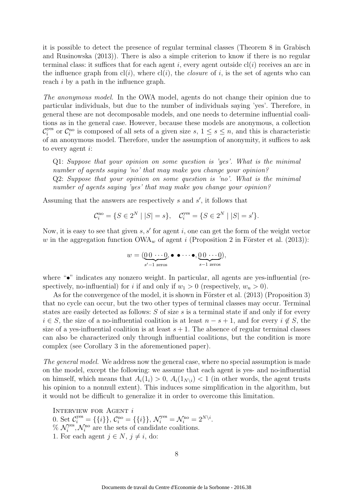it is possible to detect the presence of regular terminal classes (Theorem 8 in Grabisch and Rusinowska (2013)). There is also a simple criterion to know if there is no regular terminal class: it suffices that for each agent i, every agent outside  $cl(i)$  receives an arc in the influence graph from  $cl(i)$ , where  $cl(i)$ , the *closure* of i, is the set of agents who can reach *i* by a path in the influence graph.

*The anonymous model.* In the OWA model, agents do not change their opinion due to particular individuals, but due to the number of individuals saying 'yes'. Therefore, in general these are not decomposable models, and one needs to determine influential coalitions as in the general case. However, because these models are anonymous, a collection  $\mathcal{C}_i^{\mathrm{yes}}$ <sup>yes</sup> or  $\mathcal{C}_i^{\text{no}}$  is composed of all sets of a given size  $s, 1 \leq s \leq n$ , and this is characteristic of an anonymous model. Therefore, under the assumption of anonymity, it suffices to ask to every agent i:

Q1: *Suppose that your opinion on some question is 'yes'. What is the minimal number of agents saying 'no' that may make you change your opinion?* Q2: *Suppose that your opinion on some question is 'no'. What is the minimal number of agents saying 'yes' that may make you change your opinion?*

Assuming that the answers are respectively  $s$  and  $s'$ , it follows that

$$
\mathcal{C}_i^{\text{no}} = \{ S \in 2^N \mid |S| = s \}, \quad \mathcal{C}_i^{\text{yes}} = \{ S \in 2^N \mid |S| = s' \}.
$$

Now, it is easy to see that given  $s, s'$  for agent i, one can get the form of the weight vector w in the aggregation function  $OWA_w$  of agent i (Proposition 2 in Förster et al. (2013)):

$$
w = (\underbrace{0 \ 0 \ \cdots 0}_{s'-1 \ \text{zeros}}, \bullet \ \bullet \cdots \bullet, \underbrace{0 \ 0 \ \cdots 0}_{s-1 \ \text{zeros}}),
$$

where "•" indicates any nonzero weight. In particular, all agents are yes-influential (respectively, no-influential) for i if and only if  $w_1 > 0$  (respectively,  $w_n > 0$ ).

As for the convergence of the model, it is shown in Förster et al.  $(2013)$  (Proposition 3) that no cycle can occur, but the two other types of terminal classes may occur. Terminal states are easily detected as follows: S of size s is a terminal state if and only if for every  $i \in S$ , the size of a no-influential coalition is at least  $n - s + 1$ , and for every  $i \notin S$ , the size of a yes-influential coalition is at least  $s + 1$ . The absence of regular terminal classes can also be characterized only through influential coalitions, but the condition is more complex (see Corollary 3 in the aforementioned paper).

*The general model.* We address now the general case, where no special assumption is made on the model, except the following: we assume that each agent is yes- and no-influential on himself, which means that  $A_i(1_i) > 0$ ,  $A_i(1_{N\setminus i}) < 1$  (in other words, the agent trusts his opinion to a nonnull extent). This induces some simplification in the algorithm, but it would not be difficult to generalize it in order to overcome this limitation.

INTERVIEW FOR AGENT  $i$ 0. Set  $C_i^{\text{yes}} = \{\{i\}\}, C_i^{\text{no}} = \{\{i\}\}, \mathcal{N}_i^{\text{yes}} = \mathcal{N}_i^{\text{no}} = 2^{N \setminus i}.$  $\%$   $\mathcal{N}_i^{yes}$  $\mathcal{N}_i^{\text{res}}, \mathcal{N}_i^{\text{no}}$  are the sets of candidate coalitions. 1. For each agent  $j \in N$ ,  $j \neq i$ , do: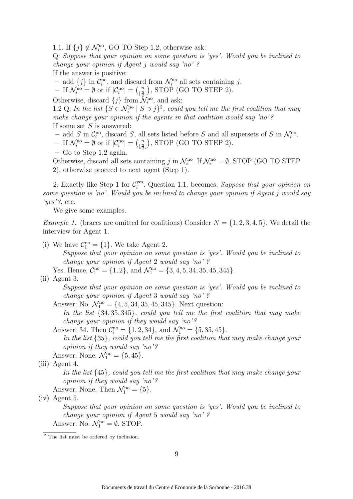1.1. If  $\{j\} \notin \mathcal{N}_i^{\text{no}}$ , GO TO Step 1.2, otherwise ask:

Q: *Suppose that your opinion on some question is 'yes'. Would you be inclined to change your opinion if Agent* j *would say 'no' ?*

If the answer is positive:

- add  $\{j\}$  in  $\mathcal{C}_i^{\text{no}}$ , and discard from  $\mathcal{N}_i^{\text{no}}$  all sets containing j.

- If  $\mathcal{N}_i^{\text{no}} = \emptyset$  or if  $|\mathcal{C}_i^{\text{no}}| = \left(\frac{n}{\frac{n}{2}}\right)$  $\binom{n}{\lfloor \frac{n}{2} \rfloor}$ , STOP (GO TO STEP 2).

Otherwise, discard  $\{j\}$  from  $\mathcal{N}_i^{\text{no}}$ , and ask:

1.2 Q: In the list  $\{S \in \mathcal{N}_i^{\text{no}} \mid S \ni j\}^2$ , could you tell me the first coalition that may *make change your opinion if the agents in that coalition would say 'no' ?* If some set  $S$  is answered:

- add S in  $\mathcal{C}_i^{\text{no}}$ , discard S, all sets listed before S and all supersets of S in  $\mathcal{N}_i^{\text{no}}$ .

- If  $\mathcal{N}_i^{\rm no} = \emptyset$  or if  $|\mathcal{C}_i^{\rm no}| = \binom{n}{\frac{n}{2}}$  $\binom{n}{\frac{n}{2}}$ , STOP (GO TO STEP 2).

– Go to Step 1.2 again.

Otherwise, discard all sets containing  $j$  in  $\mathcal{N}_i^{\text{no}}$ . If  $\mathcal{N}_i^{\text{no}} = \emptyset$ , STOP (GO TO STEP 2), otherwise proceed to next agent (Step 1).

2. Exactly like Step 1 for  $\mathcal{C}_i^{yes}$ i . Question 1.1. becomes: *Suppose that your opinion on some question is 'no'. Would you be inclined to change your opinion if Agent* j *would say 'yes' ?*, etc.

We give some examples.

*Example 1.* (braces are omitted for coalitions) Consider  $N = \{1, 2, 3, 4, 5\}$ . We detail the interview for Agent 1.

(i) We have  $C_1^{\text{no}} = \{1\}$ . We take Agent 2.

*Suppose that your opinion on some question is 'yes'. Would you be inclined to change your opinion if Agent* 2 *would say 'no' ?*

Yes. Hence,  $C_1^{\text{no}} = \{1, 2\}$ , and  $\mathcal{N}_1^{\text{no}} = \{3, 4, 5, 34, 35, 45, 345\}$ . (ii) Agent 3.

*Suppose that your opinion on some question is 'yes'. Would you be inclined to change your opinion if Agent* 3 *would say 'no' ?*

Answer: No.  $\mathcal{N}_1^{\text{no}} = \{4, 5, 34, 35, 45, 345\}$ . Next question:

*In the list* {34, 35, 345}*, could you tell me the first coalition that may make change your opinion if they would say 'no' ?*

Answer: 34. Then  $C_i^{\text{no}} = \{1, 2, 34\}$ , and  $\mathcal{N}_1^{\text{no}} = \{5, 35, 45\}$ . *In the list* {35}*, could you tell me the first coalition that may make change your opinion if they would say 'no' ?*

Answer: None.  $\mathcal{N}_1^{\text{no}} = \{5, 45\}.$ 

(iii) Agent 4.

*In the list* {45}*, could you tell me the first coalition that may make change your opinion if they would say 'no' ?*

Answer: None. Then  $\mathcal{N}_1^{\text{no}} = \{5\}.$ 

(iv) Agent 5.

*Suppose that your opinion on some question is 'yes'. Would you be inclined to change your opinion if Agent* 5 *would say 'no' ?*

Answer: No.  $\mathcal{N}_1^{\text{no}} = \emptyset$ . STOP.

<sup>2</sup> The list must be ordered by inclusion.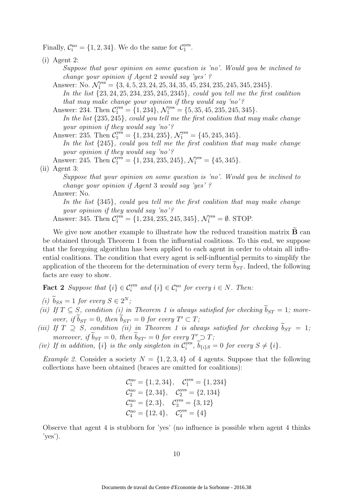Finally,  $C_i^{\text{no}} = \{1, 2, 34\}$ . We do the same for  $C_1^{\text{yes}}$ yes<br>1

(i) Agent 2:

*Suppose that your opinion on some question is 'no'. Would you be inclined to change your opinion if Agent* 2 *would say 'yes' ?*

Answer: No.  $\mathcal{N}_1^{\text{yes}} = \{3, 4, 5, 23, 24, 25, 34, 35, 45, 234, 235, 245, 345, 2345\}.$ *In the list* {23, 24, 25, 234, 235, 245, 2345}*, could you tell me the first coalition that may make change your opinion if they would say 'no' ?* Answer: 234. Then  $\mathcal{C}_1^{\text{yes}} = \{1, 234\}, \, \mathcal{N}_1^{\text{yes}} = \{5, 35, 45, 235, 245, 345\}.$ 

*In the list* {235, 245}*, could you tell me the first coalition that may make change your opinion if they would say 'no' ?*

Answer: 235. Then  $C_1^{\text{yes}} = \{1, 234, 235\}, \mathcal{N}_1^{\text{yes}} = \{45, 245, 345\}.$ 

*In the list* {245}*, could you tell me the first coalition that may make change your opinion if they would say 'no' ?*

Answer: 245. Then  $C_1^{\text{yes}} = \{1, 234, 235, 245\}, \mathcal{N}_1^{\text{yes}} = \{45, 345\}.$ 

#### (ii) Agent 3:

*Suppose that your opinion on some question is 'no'. Would you be inclined to change your opinion if Agent* 3 *would say 'yes' ?*

#### Answer: No.

*In the list* {345}*, could you tell me the first coalition that may make change your opinion if they would say 'no' ?*

Answer: 345. Then  $C_1^{\text{yes}} = \{1, 234, 235, 245, 345\}, \mathcal{N}_1^{\text{yes}} = \emptyset$ . STOP.

We give now another example to illustrate how the reduced transition matrix  $\widetilde{\mathbf{B}}$  can be obtained through Theorem 1 from the influential coalitions. To this end, we suppose that the foregoing algorithm has been applied to each agent in order to obtain all influential coalitions. The condition that every agent is self-influential permits to simplify the application of the theorem for the determination of every term  $b_{ST}$ . Indeed, the following facts are easy to show.

**Fact 2** Suppose that  $\{i\} \in \mathcal{C}_i^{yes}$  and  $\{i\} \in \mathcal{C}_i^{no}$  for every  $i \in N$ . Then:

- *(i)*  $b_{SS} = 1$  *for every*  $S \in 2^N$ *;*
- *(ii)* If  $T \subseteq S$ , condition *(i)* in Theorem 1 is always satisfied for checking  $\tilde{b}_{ST} = 1$ ; more*over, if*  $b_{ST} = 0$ *, then*  $b_{ST'} = 0$  *for every*  $T' \subset T$ *;*
- *(iii)* If  $T \supset S$ , condition *(ii)* in Theorem 1 is always satisfied for checking  $\tilde{b}_{ST} = 1$ ; *moreover, if*  $b_{ST} = 0$ *, then*  $b_{ST'} = 0$  *for every*  $T' \supseteq T$ ;
- (*iv*) If in addition,  $\{i\}$  is the only singleton in  $\mathcal{C}_i^{\text{yes}}$  $i_j^{\text{yes}}, b_{\{i\}S} = 0 \text{ for every } S \neq \{i\}.$

*Example 2.* Consider a society  $N = \{1, 2, 3, 4\}$  of 4 agents. Suppose that the following collections have been obtained (braces are omitted for coalitions):

$$
C_1^{\text{no}} = \{1, 2, 34\}, \quad C_1^{\text{yes}} = \{1, 234\}
$$
\n
$$
C_2^{\text{no}} = \{2, 34\}, \quad C_2^{\text{yes}} = \{2, 134\}
$$
\n
$$
C_3^{\text{no}} = \{2, 3\}, \quad C_3^{\text{yes}} = \{3, 12\}
$$
\n
$$
C_4^{\text{no}} = \{12, 4\}, \quad C_4^{\text{yes}} = \{4\}
$$

Observe that agent 4 is stubborn for 'yes' (no influence is possible when agent 4 thinks 'yes').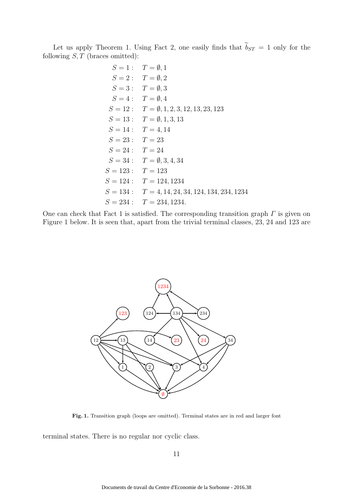Let us apply Theorem 1. Using Fact 2, one easily finds that  $\tilde{b}_{ST} = 1$  only for the following  $S, T$  (braces omitted):

$$
S = 1: T = \emptyset, 1
$$
  
\n
$$
S = 2: T = \emptyset, 2
$$
  
\n
$$
S = 3: T = \emptyset, 3
$$
  
\n
$$
S = 4: T = \emptyset, 4
$$
  
\n
$$
S = 12: T = \emptyset, 1, 2, 3, 12, 13, 23, 123
$$
  
\n
$$
S = 13: T = \emptyset, 1, 3, 13
$$
  
\n
$$
S = 14: T = 4, 14
$$
  
\n
$$
S = 23: T = 23
$$
  
\n
$$
S = 34: T = \emptyset, 3, 4, 34
$$
  
\n
$$
S = 123: T = 123
$$
  
\n
$$
S = 124: T = 124, 1234
$$
  
\n
$$
S = 134: T = 4, 14, 24, 34, 124, 134, 234, 1234
$$
  
\n
$$
S = 234: T = 234, 1234
$$

One can check that Fact 1 is satisfied. The corresponding transition graph  $\Gamma$  is given on Figure 1 below. It is seen that, apart from the trivial terminal classes, 23, 24 and 123 are



Fig. 1. Transition graph (loops are omitted). Terminal states are in red and larger font

terminal states. There is no regular nor cyclic class.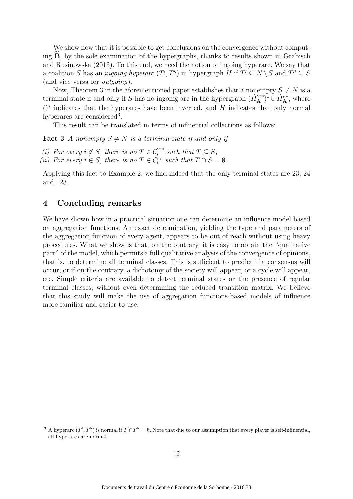We show now that it is possible to get conclusions on the convergence without computing  $B$ , by the sole examination of the hypergraphs, thanks to results shown in Grabisch and Rusinowska (2013). To this end, we need the notion of ingoing hyperarc. We say that a coalition S has an *ingoing hyperarc*  $(T', T'')$  in hypergraph H if  $T' \subseteq N \setminus S$  and  $T'' \subseteq S$ (and vice versa for *outgoing*).

Now, Theorem 3 in the aforementioned paper establishes that a nonempty  $S \neq N$  is a terminal state if and only if S has no ingoing arc in the hypergraph  $(\hat{H}_{\mathbf{A}}^{\text{yes}})^* \cup \hat{H}_{\mathbf{A}}^{\text{no}}$ , where ()<sup>\*</sup> indicates that the hyperarcs have been inverted, and  $\hat{H}$  indicates that only normal hyperarcs are considered<sup>3</sup>.

This result can be translated in terms of influential collections as follows:

**Fact 3** *A nonempty*  $S \neq N$  *is a terminal state if and only if* 

*(i)* For every  $i \notin S$ , there is no  $T \in C_i^{\text{yes}}$  such that  $T \subseteq S$ ;

*(ii)* For every  $i \in S$ , there is no  $T \in C_i^{\text{no}}$  such that  $T \cap S = \emptyset$ .

Applying this fact to Example 2, we find indeed that the only terminal states are 23, 24 and 123.

### 4 Concluding remarks

We have shown how in a practical situation one can determine an influence model based on aggregation functions. An exact determination, yielding the type and parameters of the aggregation function of every agent, appears to be out of reach without using heavy procedures. What we show is that, on the contrary, it is easy to obtain the "qualitative part" of the model, which permits a full qualitative analysis of the convergence of opinions, that is, to determine all terminal classes. This is sufficient to predict if a consensus will occur, or if on the contrary, a dichotomy of the society will appear, or a cycle will appear, etc. Simple criteria are available to detect terminal states or the presence of regular terminal classes, without even determining the reduced transition matrix. We believe that this study will make the use of aggregation functions-based models of influence more familiar and easier to use.

<sup>&</sup>lt;sup>3</sup> A hyperarc  $(T', T'')$  is normal if  $T' \cap T'' = \emptyset$ . Note that due to our assumption that every player is self-influential, all hyperarcs are normal.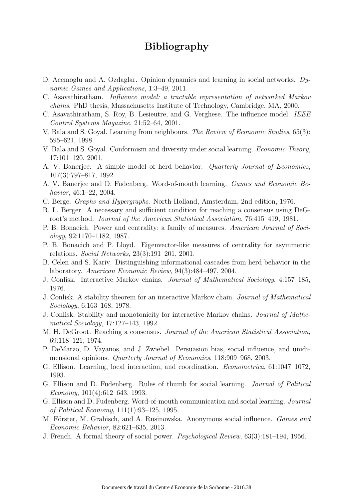# Bibliography

- D. Acemoglu and A. Ozdaglar. Opinion dynamics and learning in social networks. *Dynamic Games and Applications*, 1:3–49, 2011.
- C. Asavathiratham. *Influence model: a tractable representation of networked Markov chains*. PhD thesis, Massachusetts Institute of Technology, Cambridge, MA, 2000.
- C. Asavathiratham, S. Roy, B. Lesieutre, and G. Verghese. The influence model. *IEEE Control Systems Magazine*, 21:52–64, 2001.
- V. Bala and S. Goyal. Learning from neighbours. *The Review of Economic Studies*, 65(3): 595–621, 1998.
- V. Bala and S. Goyal. Conformism and diversity under social learning. *Economic Theory*, 17:101–120, 2001.
- A. V. Banerjee. A simple model of herd behavior. *Quarterly Journal of Economics*, 107(3):797–817, 1992.
- A. V. Banerjee and D. Fudenberg. Word-of-mouth learning. *Games and Economic Behavior*, 46:1–22, 2004.
- C. Berge. *Graphs and Hypergraphs*. North-Holland, Amsterdam, 2nd edition, 1976.
- R. L. Berger. A necessary and sufficient condition for reaching a consensus using DeGroot's method. *Journal of the American Statistical Association*, 76:415–419, 1981.
- P. B. Bonacich. Power and centrality: a family of measures. *American Journal of Sociology*, 92:1170–1182, 1987.
- P. B. Bonacich and P. Lloyd. Eigenvector-like measures of centrality for asymmetric relations. *Social Networks*, 23(3):191–201, 2001.
- B. Celen and S. Kariv. Distinguishing informational cascades from herd behavior in the laboratory. *American Economic Review*, 94(3):484–497, 2004.
- J. Conlisk. Interactive Markov chains. *Journal of Mathematical Sociology*, 4:157–185, 1976.
- J. Conlisk. A stability theorem for an interactive Markov chain. *Journal of Mathematical Sociology*, 6:163–168, 1978.
- J. Conlisk. Stability and monotonicity for interactive Markov chains. *Journal of Mathematical Sociology*, 17:127–143, 1992.
- M. H. DeGroot. Reaching a consensus. *Journal of the American Statistical Association*, 69:118–121, 1974.
- P. DeMarzo, D. Vayanos, and J. Zwiebel. Persuasion bias, social influence, and unidimensional opinions. *Quarterly Journal of Economics*, 118:909–968, 2003.
- G. Ellison. Learning, local interaction, and coordination. *Econometrica*, 61:1047–1072, 1993.
- G. Ellison and D. Fudenberg. Rules of thumb for social learning. *Journal of Political Economy*, 101(4):612–643, 1993.
- G. Ellison and D. Fudenberg. Word-of-mouth communication and social learning. *Journal of Political Economy*, 111(1):93–125, 1995.
- M. Förster, M. Grabisch, and A. Rusinowska. Anonymous social influence. *Games and Economic Behavior*, 82:621–635, 2013.
- J. French. A formal theory of social power. *Psychological Review*, 63(3):181–194, 1956.